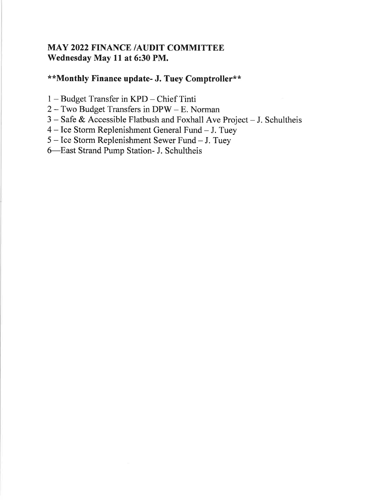## MAY 2022 FINANCE /AUDIT COMMITTEE Wednesday May ll at 6:30 PM.

## \*\*Monthly Finance update- J. Tuey Comptroller\*\*

- <sup>1</sup> Budget Transfer in KPD Chief Tinti
- <sup>2</sup> Two Budget Transfers in DPW E. Norman
- 3 Safe & Accessible Flatbush and Foxhall Ave Project J. Schultheis
- <sup>4</sup> Ice Storm Replenishment General Fund J. Tuey
- <sup>5</sup> Ice Storm Replenishment Sewer Fund J. Tuey
- 6-East Strand Pump Station- J. Schultheis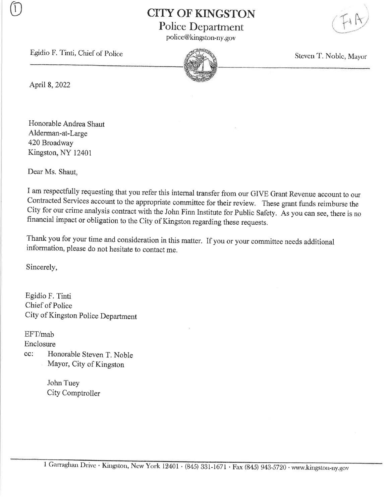**CITY OF KINGSTON** Police Department

police@kingston-ny. gov



Egidio F. Tinti, Chief of Police  $\mathbb{Z}$  Steven T. Noble, Mayor



April 8,2022

Honorable Andrea Shaut Alderman-at-Large 420 Broadway Kingston, NY 12401

Dear Ms. Shaut,

<sup>I</sup>am respectfully requesting that you refer this internal transfer from our GIVE Grant Revenue account to our Contracted Services account to the appropriate committee for their review. These grant funds reimburse the City for our crirne analysis contract with the John Finn Institute for public Safety. As you can see, there is no financial impact or obligation to the City of Kingston regarding these requests.

Thank you for your time and consideration in this matter. If you or your committee needs additional information, please do not hesitate to contact me.

Sincerely,

Egidio F. Tinti Chief of Police City of Kingston Police Department

EFT/mab

Enclosure

cc: Honorable Steven T. Noble Mayor, City of Kingston

> John Tuey City Comptroller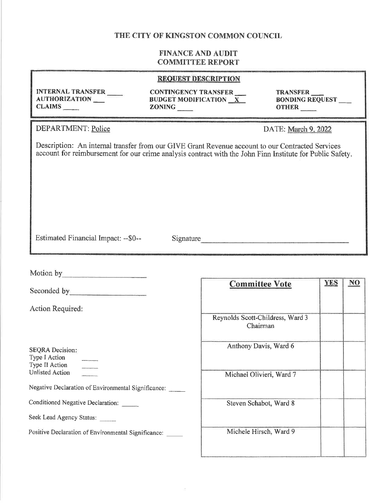| <b>REQUEST DESCRIPTION</b>                                                   |                                                                                                                                                                                                               |                                                       |  |
|------------------------------------------------------------------------------|---------------------------------------------------------------------------------------------------------------------------------------------------------------------------------------------------------------|-------------------------------------------------------|--|
| <b>INTERNAL TRANSFER</b><br>AUTHORIZATION                                    | CONTINGENCY TRANSFER<br><b>BUDGET MODIFICATION X</b><br><b>ZONING</b>                                                                                                                                         | TRANSFER<br><b>BONDING REQUEST___</b><br><b>OTHER</b> |  |
| DEPARTMENT: Police                                                           |                                                                                                                                                                                                               | DATE: March 9, 2022                                   |  |
|                                                                              | Description: An internal transfer from our GIVE Grant Revenue account to our Contracted Services<br>account for reimbursement for our crime analysis contract with the John Finn Institute for Public Safety. |                                                       |  |
| Estimated Financial Impact: --\$0--                                          | Signature                                                                                                                                                                                                     |                                                       |  |
| Seconded by <u>contract the second of the second second</u>                  |                                                                                                                                                                                                               | YES<br>$\overline{NQ}$<br><b>Committee Vote</b>       |  |
| Action Required:                                                             |                                                                                                                                                                                                               | Reynolds Scott-Childress, Ward 3<br>Chairman          |  |
| <b>SEQRA</b> Decision:<br>Type I Action<br>Type II Action<br>Unlisted Action |                                                                                                                                                                                                               | Anthony Davis, Ward 6                                 |  |
|                                                                              |                                                                                                                                                                                                               | Michael Olivieri, Ward 7                              |  |
| Negative Declaration of Environmental Significance:                          |                                                                                                                                                                                                               |                                                       |  |
| Conditioned Negative Declaration:                                            |                                                                                                                                                                                                               | Steven Schabot, Ward 8                                |  |
| Seek Lead Agency Status:                                                     |                                                                                                                                                                                                               |                                                       |  |
| Positive Declaration of Environmental Significance:                          |                                                                                                                                                                                                               | Michele Hirsch, Ward 9                                |  |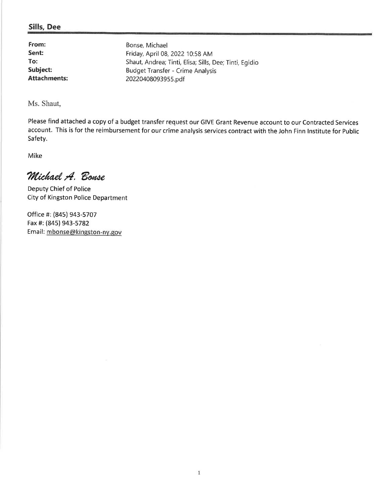#### Sills, Dee

From: Sent: To: Subject: Attachments:

Bonse, Michael Friday, April 08, 202210:58 AM Shaut, Andrea; Tinti, Elisa; Sills, Dee; Tinti, Egidio Budget Transfer - Crime Analysis 20220408093955.pdf

Ms. Shaut,

Please find attached a copy of a budget transfer request our GIVE Grant Revenue account to our Contracted Services account. This is for the reimbursement for our crime analysis services contract with the John Finn lnstitute for Public Safety.

Mike

Michael A. Bonse

Deputy Chief of Police City of Kingston Police Department

Office #: (845) 943-5707 Fax #: (845) 943-5782 Email: mbonse@kingston-ny.gov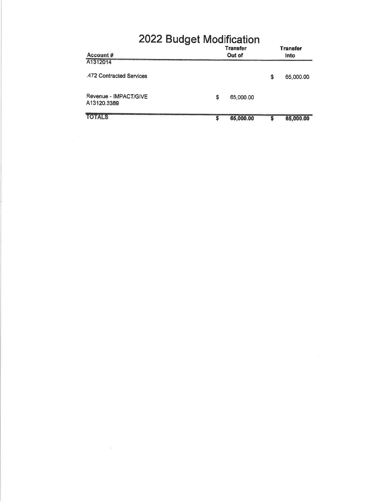| 2022 Budget Modification             |    |                           |    |                         |
|--------------------------------------|----|---------------------------|----|-------------------------|
| Account #                            |    | <b>Transfer</b><br>Out of |    | <b>Transfer</b><br>Into |
| A1312014                             |    |                           |    |                         |
| .472 Contracted Services             |    |                           | \$ | 65,000.00               |
| Revenue - IMPACT/GIVE<br>A13120.3389 | \$ | 65,000.00                 |    |                         |
| <b>TOTALS</b>                        | S  | 65,000.00                 | S  | 65,000.00               |

 $\alpha = 0.00000$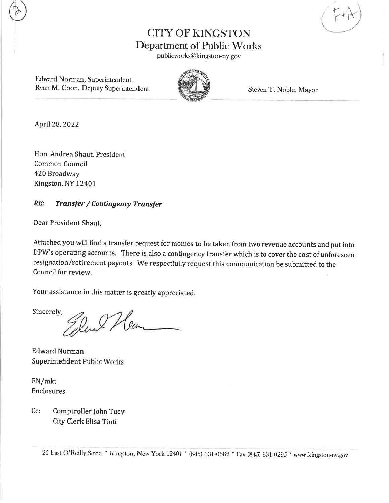{ Y rh'

# CITY OF KINGSTON Department of Public Works

publicworks@kingston-ny.gov

Edward Norman, Superintendent Ryan M. Coon, Deputy Superintendent Steven T. Noble, Mayor



April28,2O22

Hon. Andrea Shaut, President Common Council 420 Broadway Kingston, NY 12401

#### RE: Transfer / Contingency Transfer

Dear President Shaut,

Attached you will find a transfer request for monies to be taken from two revenue accounts and put into DPW's operating accounts. There is also a contingency transfer which is to cover the cost of unforeseen resignation/retirement payouts. We respectfully request this communication be submitted to the Council for review.

Your assistance in this matter is greatly appreciated.

Sincerely, Elene Hen

Edward Norman Superintehdent Public Works

EN/mkt Enclosures

Comptroller John Tuey City Clerk Elisa Tinti Cc: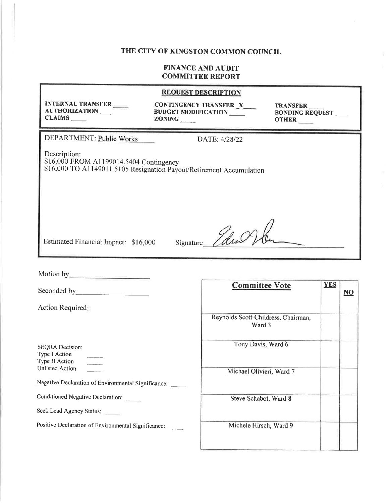#### **FINANCE AND AUDIT COMMITTEE REPORT**

### **REQUEST DESCRIPTION INTERNAL TRANSFER CONTINGENCY TRANSFER X TRANSFER** AUTHORIZATION **BUDGET MODIFICATION BONDING REQUEST** CLAIMS  $ZONING$ **OTHER** DEPARTMENT: Public Works DATE: 4/28/22 Description: \$16,000 FROM A1199014.5404 Contingency \$16,000 TO A1149011.5105 Resignation Payout/Retirement Accumulation Edw Estimated Financial Impact: \$16,000 Signature **Committee Vote YES**

Action Required: SEQRA Decision: Type I Action Type II Action Unlisted Action Negative Declaration of Environmental Significance: Conditioned Negative Declaration: Seek Lead Agency Status:

Positive Declaration of Environmental Significance:

Reynolds Scott-Childress, Chairman, Ward 3 Tony Davis, Ward 6 Michael Olivieri, Ward 7 Steve Schabot, Ward 8 Michele Hirsch, Ward 9

 $\underline{NO}$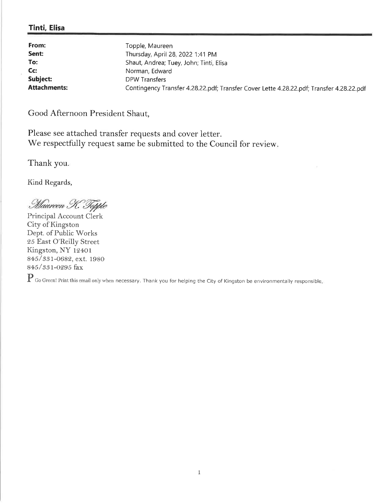#### Tinti, Elisa

| From:<br>Sent:      | Topple, Maureen<br>Thursday, April 28, 2022 1:41 PM                                      |
|---------------------|------------------------------------------------------------------------------------------|
| To:                 | Shaut, Andrea; Tuey, John; Tinti, Elisa                                                  |
| Cc:                 | Norman, Edward                                                                           |
| Subject:            | DPW Transfers                                                                            |
| <b>Attachments:</b> | Contingency Transfer 4.28.22.pdf; Transfer Cover Lette 4.28.22.pdf; Transfer 4.28.22.pdf |

Good Afternoon President Shaut,

Please see attached transfer requests and cover letter. We respectfully request same be submitted to the Council for review.

Thank you

Kind Regards,

Maureen K. Topple

Principal Account Clerk City of Kingston Dept. of Public Works 25 East O'Reilly Street Kingston, NY 12401 845 / 331-0682, ext. 1980 845/ 33t-o295 fax

 $\mathbf P$  Go Green! Print this email only when necessary. Thank you for helping the City of Kingston be environmentally responsible.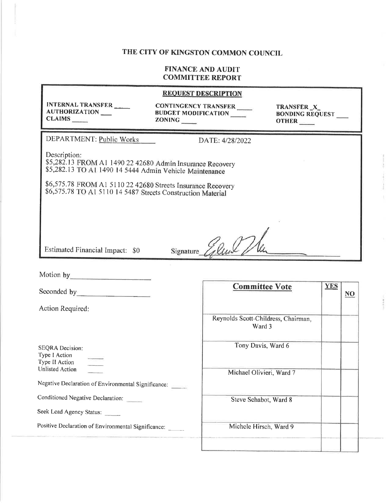#### FINANCE AND AUDIT COMMITTEE REPORT

|                                                                                                                                      |                                                                     | <b>REQUEST DESCRIPTION</b> |                                                |    |
|--------------------------------------------------------------------------------------------------------------------------------------|---------------------------------------------------------------------|----------------------------|------------------------------------------------|----|
| <b>INTERNAL TRANSFER</b><br><b>AUTHORIZATION</b><br>CLAIMS                                                                           | <b>CONTINGENCY TRANSFER</b><br><b>BUDGET MODIFICATION</b><br>ZONING |                            | TRANSFER_X_<br><b>BONDING REQUEST</b><br>OTHER |    |
| DEPARTMENT: Public Works                                                                                                             |                                                                     | DATE: 4/28/2022            |                                                |    |
| Description:<br>\$5,282.13 FROM A1 1490 22 42680 Admin Insurance Recovery<br>\$5,282.13 TO A1 1490 14 5444 Admin Vehicle Maintenance |                                                                     |                            |                                                |    |
| \$6,575.78 FROM A1 5110 22 42680 Streets Insurance Recovery<br>\$6,575.78 TO A1 5110 14 5487 Streets Construction Material           |                                                                     |                            |                                                |    |
|                                                                                                                                      |                                                                     |                            |                                                |    |
| Estimated Financial Impact: \$0                                                                                                      | Signature                                                           |                            |                                                |    |
| Motion by                                                                                                                            |                                                                     |                            |                                                |    |
| Seconded by                                                                                                                          |                                                                     | <b>Committee Vote</b>      | <b>YES</b>                                     | NO |

Action Required:

SEQRA Decision: Type I Action Type II Action Unlisted Action

Negative Declaration of Environmental Significance:

Conditioned Negative Declaration:

Seek Lead Agency Status:

Positive Declaration of Environmental Significance:

| <b>Committee Vote</b>                         | <u>YES</u> | $\overline{\mathbf{NQ}}$ |
|-----------------------------------------------|------------|--------------------------|
| Reynolds Scott-Childress, Chairman,<br>Ward 3 |            |                          |
| Tony Davis, Ward 6                            |            |                          |
| Michael Olivieri, Ward 7                      |            |                          |
| Steve Schabot, Ward 8                         |            |                          |
| Michele Hirsch, Ward 9                        |            |                          |
|                                               |            |                          |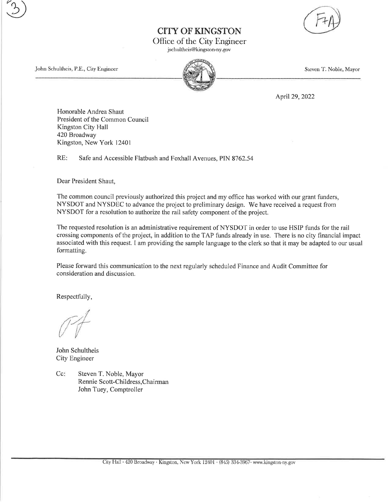CITY OF KINGSTON



Office of the City Engineer

jschultheis@kingston-ny. gov

John Schultheis, P.E., City Engineer Steven T. Noble, Mayor

 $\binom{3}{}$ 

April29,2022

Honorable Andrea Shaut President of the Common Council Kingston City Hall 420Broadway Kingston, New York 12401

RE: Safe and Accessible Flatbush and Foxhall Avenues, PIN 8762.54

Dear President Shaut,

The common council previously authorized this project and my office has worked with our grant funders, NYSDOT and NYSDEC to advance the project to preliminary design. We have received a request from NYSDOT for a resolution to authorize the rail safety component of the project.

The requested resolution is an administrative requirement of NYSDOT in order to use HSIP funds for the rail crossing components of the project, in addition to the TAP funds already in use. There is no city financial impact associated with this request. I am providing the sample language to the clerk so that it may be adapted to our usual formatting.

Please forward this communication to the next regularly scheduled Finance and Audit Committee for consideration and discussion.

Respectfully,

John Schultheis City Engineer

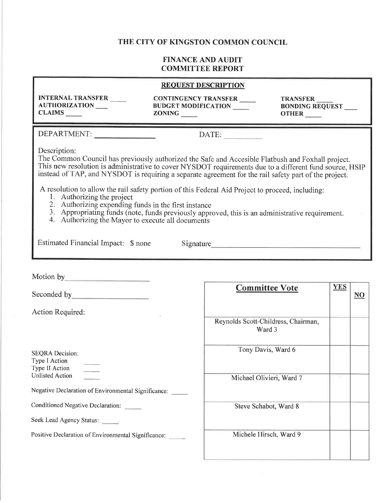|                                                                                                                                                                                                                                                                                                                                                | <b>REQUEST DESCRIPTION</b>                                                                                                                                                                                                                                                                                            |                                                    |
|------------------------------------------------------------------------------------------------------------------------------------------------------------------------------------------------------------------------------------------------------------------------------------------------------------------------------------------------|-----------------------------------------------------------------------------------------------------------------------------------------------------------------------------------------------------------------------------------------------------------------------------------------------------------------------|----------------------------------------------------|
| <b>INTERNAL TRANSFER</b><br>AUTHORIZATION<br>$CLAIMS$ <sub>_____</sub>                                                                                                                                                                                                                                                                         | CONTINGENCY TRANSFER<br><b>BUDGET MODIFICATION</b><br><b>ZONING</b>                                                                                                                                                                                                                                                   | <b>TRANSFER</b><br><b>BONDING REQUEST</b><br>OTHER |
| DEPARTMENT:                                                                                                                                                                                                                                                                                                                                    | DATE:                                                                                                                                                                                                                                                                                                                 |                                                    |
| Description:                                                                                                                                                                                                                                                                                                                                   | The Common Council has previously authorized the Safe and Accesible Flatbush and Foxhall project.<br>This new resolution is administrative to cover NYSDOT requirements due to a different fund source, HSIP<br>instead of TAP, and NYSDOT is requiring a separate agreement for the rail safety part of the project. |                                                    |
| A resolution to allow the rail safety portion of this Federal Aid Project to proceed, including:<br>1. Authorizing the project<br>2. Authorizing expending funds in the first instance<br>3. Appropriating funds (note, funds previously approved, this is an administrative requirement.<br>4. Authorizing the Mayor to execute all documents |                                                                                                                                                                                                                                                                                                                       |                                                    |
| Estimated Financial Impact: \$ none                                                                                                                                                                                                                                                                                                            | Signature                                                                                                                                                                                                                                                                                                             |                                                    |
|                                                                                                                                                                                                                                                                                                                                                |                                                                                                                                                                                                                                                                                                                       |                                                    |
| Seconded by <u>Electrical Contract of the Seconded by</u>                                                                                                                                                                                                                                                                                      | <b>Committee Vote</b>                                                                                                                                                                                                                                                                                                 | <b>YES</b><br>$\overline{\mathbf{N}}$              |
| Action Required:                                                                                                                                                                                                                                                                                                                               |                                                                                                                                                                                                                                                                                                                       |                                                    |
|                                                                                                                                                                                                                                                                                                                                                | Reynolds Scott-Childress, Chairman,<br>Ward 3                                                                                                                                                                                                                                                                         |                                                    |
| <b>SEQRA</b> Decision:<br>Type I Action<br>Type II Action                                                                                                                                                                                                                                                                                      | Tony Davis, Ward 6                                                                                                                                                                                                                                                                                                    |                                                    |
| <b>Unlisted Action</b>                                                                                                                                                                                                                                                                                                                         | Michael Olivieri, Ward 7                                                                                                                                                                                                                                                                                              |                                                    |
| Negative Declaration of Environmental Significance: _____                                                                                                                                                                                                                                                                                      |                                                                                                                                                                                                                                                                                                                       |                                                    |
| Conditioned Negative Declaration:                                                                                                                                                                                                                                                                                                              | Steve Schabot, Ward 8                                                                                                                                                                                                                                                                                                 |                                                    |
| Seek Lead Agency Status:                                                                                                                                                                                                                                                                                                                       |                                                                                                                                                                                                                                                                                                                       |                                                    |
| Positive Declaration of Environmental Significance:                                                                                                                                                                                                                                                                                            | Michele Hirsch, Ward 9                                                                                                                                                                                                                                                                                                |                                                    |
|                                                                                                                                                                                                                                                                                                                                                |                                                                                                                                                                                                                                                                                                                       |                                                    |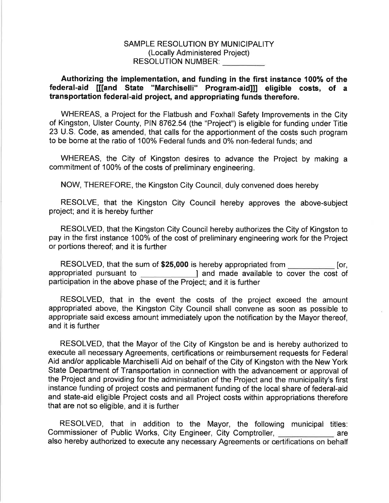#### SAMPLE RESOLUTION BY MUNICIPALITY (Locally Administered Project) RESOLUTION NUMBER:

#### Authorizing the implementation, and funding in the first instance 100% of the federal-aid [[[and State "Marchiselli" Program-aid]ll eligible costs, of <sup>a</sup> transportation federal-aid project, and appropriating funds therefore.

WHEREAS, a Project for the Flatbush and Foxhall Safety lmprovements in the City of Kingston, Ulster County, PIN 8762.54 (the "Project") is eligible for funding under Title 23 U.S. Code, as amended, that calls for the apportionment of the costs such program to be borne at the ratio of 100% Federal funds and 0% non-federal funds; and

WHEREAS, the City of Kingston desires to advance the Project by making <sup>a</sup> commitment of 100% of the costs of preliminary engineering.

NOW, THEREFORE, the Kingston City Council, duly convened does hereby

RESOLVE, that the Kingston City Council hereby approves the above-subject project; and it is hereby further

RESOLVED, that the Kingston City Council hereby authorizes the City of Kingston to pay in the first instance 100% of the cost of preliminary engineering work for the Project or portions thereof; and it is further

RESOLVED, that the sum of \$25,000 is hereby appropriated from **Ion** [or, appropriated pursuant to **I** and made available to cover the cost of participation in the above phase of the Project; and it is further

RESOLVED, that in the event the costs of the project exceed the amount appropriated above, the Kingston City Council shall convene as soon as possible to appropriate said excess amount immediately upon the notification by the Mayor thereof, and it is further

RESOLVED, that the Mayor of the City of Kingston be and is hereby authorized to execute all necessary Agreements, certifications or reimbursement requests for Federal Aid and/or applicable Marchiselli Aid on behalf of the City of Kingston with the New York State Department of Transportation in connection with the advancement or approval of the Project and providing for the administration of the Project and the municipality's first instance funding of project costs and permanent funding of the local share of federal-aid and state-aid eligible Project costs and all Project costs within appropriations therefore that are not so eligible, and it is further

RESOLVED, that in addition to the Mayor, the following municipal titles: Commissioner of Public Works, City Engineer, City Comptroller, **Commissioner of Public Works**, City Engineer, City Comptroller, also hereby authorized to execute any necessary Agreements or certifications on behalf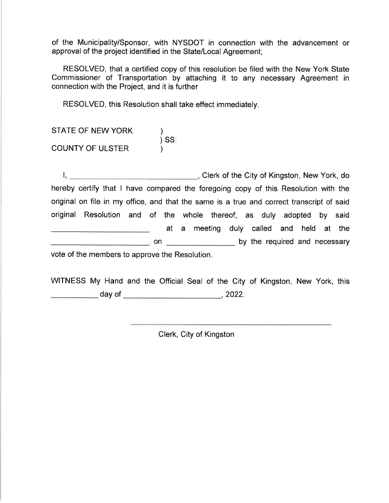of the Municipality/Sponsor, with NYSDOT in connection with the advancement or approval of the project identified in the State/Local Agreement;

RESOLVED, that a certified copy of this resolution be filed with the New York State Commissioner of Transportation by attaching it to any necessary Agreement in connection with the Project, and it is further

RESOLVED, this Resolution shall take effect immediately

| STATE OF NEW YORK       |         |
|-------------------------|---------|
| <b>COUNTY OF ULSTER</b> | $)$ SS: |

Clerk of the City of Kingston, New York, do hereby certify that I have compared the foregoing copy of this Resolution with the original on file in my office, and that the same is a true and correct transcript of said original Resolution and of the whole thereof, as duly adopted by said at a meeting duly called and held at the on \_\_\_\_\_\_\_\_\_\_\_\_\_\_\_\_\_\_\_\_ by the required and necessary vote of the members to approve the Resolution

WITNESS My Hand and the Official Seal of the City of Kingston, New York, this day of ,2022.

Clerk, City of Kingston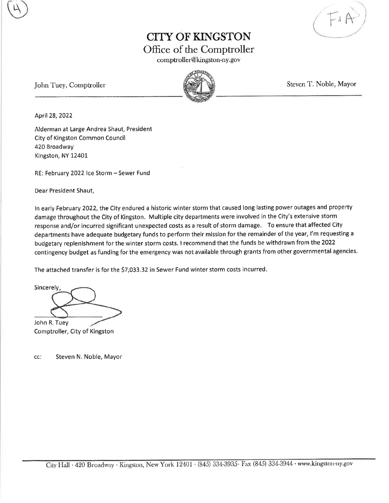l

## CITY OF KINGSTON Office of the Comptroller

comptroller@kingston-ny. gov

John Tuey, Comptroller Steven T. Noble, Mayor



April28,2022

Alderman at Large Andrea Shaut, President City of Kingston Common Council 420 Broadway Kingston, NY 12401-

RE: February 2022 Ice Storm - Sewer Fund

Dear President Shaut,

In early February 2022, the City endured a historic winter storm that caused long lasting power outages and property damage throughout the City of Kingston. Multiple city departments were involved in the City's extensive storm response and/or incurred significant unexpected costs as a result of storm damage. To ensure that affected City departments have adequate budgetary funds to perform their mission for the remainder of the year, l'm requesting <sup>a</sup> budgetary replenishment for the winter storm costs. I recommend that the funds be withdrawn from the 2022 contingency budget as funding for the emergency was not available through grants from other governmental agencies.

The attached transfer is for the \$7,033.32 in Sewer Fund winter storm costs incurred.

**Sincerely** John R. Tuey

Comptroller, City of Kingston

cc: Steven N, Noble, Mayor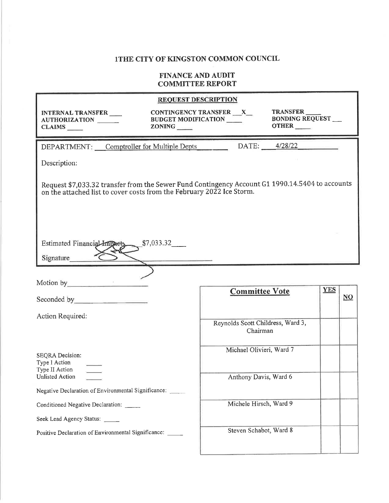|                                                                                                                                                                                                                                | <b>REQUEST DESCRIPTION</b>                                                                                         |                           |
|--------------------------------------------------------------------------------------------------------------------------------------------------------------------------------------------------------------------------------|--------------------------------------------------------------------------------------------------------------------|---------------------------|
| INTERNAL TRANSFER<br>AUTHORIZATION<br>ZONING<br><b>CLAIMS</b>                                                                                                                                                                  | TRANSFER<br>CONTINGENCY TRANSFER __ X_<br><b>BONDING REQUEST</b><br><b>BUDGET MODIFICATION ___</b><br><b>OTHER</b> |                           |
| DEPARTMENT: Comptroller for Multiple Depts                                                                                                                                                                                     | 4/28/22<br>DATE:                                                                                                   |                           |
| Description:                                                                                                                                                                                                                   |                                                                                                                    |                           |
| Request \$7,033.32 transfer from the Sewer Fund Contingency Account G1 1990.14.5404 to accounts<br>on the attached list to cover costs from the February 2022 Ice Storm.                                                       |                                                                                                                    |                           |
| Estimated Financial Impacts<br>\$7,033.32                                                                                                                                                                                      |                                                                                                                    |                           |
| Signature                                                                                                                                                                                                                      |                                                                                                                    |                           |
|                                                                                                                                                                                                                                |                                                                                                                    |                           |
| Motion by the control of the state of the state of the state of the state of the state of the state of the state of the state of the state of the state of the state of the state of the state of the state of the state of th | <b>Committee Vote</b>                                                                                              | <b>YES</b>                |
| Seconded by the second second second second second second second second second second second second second second second second second second second second second second second second second second second second second sec |                                                                                                                    | $\underline{\mathbf{NO}}$ |
| Action Required:                                                                                                                                                                                                               |                                                                                                                    |                           |
|                                                                                                                                                                                                                                | Reynolds Scott Childress, Ward 3,<br>Chairman                                                                      |                           |
|                                                                                                                                                                                                                                | Michael Olivieri, Ward 7                                                                                           |                           |
| SEQRA Decision:<br>Type I Action                                                                                                                                                                                               |                                                                                                                    |                           |
| Type II Action<br><b>Unlisted Action</b>                                                                                                                                                                                       | Anthony Davis, Ward 6                                                                                              |                           |
| Negative Declaration of Environmental Significance:                                                                                                                                                                            |                                                                                                                    |                           |
| Conditioned Negative Declaration:                                                                                                                                                                                              | Michele Hirsch, Ward 9                                                                                             |                           |
| Seek Lead Agency Status:                                                                                                                                                                                                       |                                                                                                                    |                           |
| Positive Declaration of Environmental Significance: _____                                                                                                                                                                      | Steven Schabot, Ward 8                                                                                             |                           |
|                                                                                                                                                                                                                                |                                                                                                                    |                           |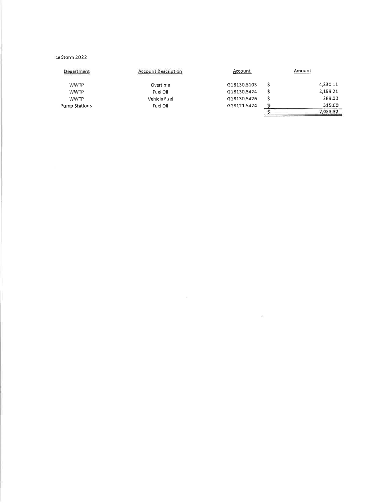#### Ice Storm 2022

| Department           | <b>Account Description</b> | <b>Account</b> | Amount   |
|----------------------|----------------------------|----------------|----------|
| <b>WWTP</b>          | Overtime                   | G18130.5103    | 4,230,11 |
| <b>WWTP</b>          | Fuel Oil                   | G18130.5424    | 2,199.21 |
| <b>WWTP</b>          | Vehicle Fuel               | G18130.5426    | 289.00   |
| <b>Pump Stations</b> | Fuel Oil                   | G18121.5424    | 315.00   |
|                      |                            |                | 7,033.32 |

 $\sim$  160  $\,$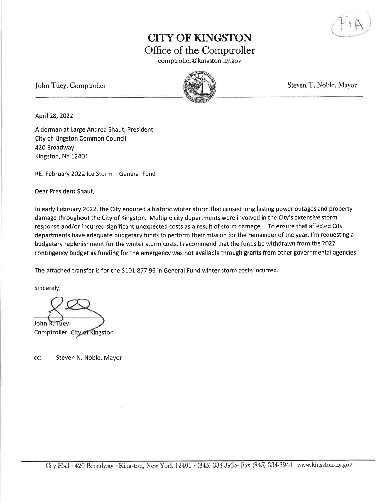# CITY OF KINGSTON Office of the Comptroller

comptroller@kingston-ny. gov

John Tuey, Comptroller Steven T. Noble, Mayor



April28,2022

Alderman at Large Andrea Shaut, President City of Kingston Common Council 420 Broadway Kingston, NY 12401

RE: February 2022 Ice Storm - General Fund

Dear President Shaut,

In early February 2022, the City endured a historic winter storm that caused long lasting power outages and property damage throughout the City of Kingston. Multiple city departments were involved in the City's extensive storm response and/or incurred significant unexpected costs as a result of storm damage. To ensure that affected City departments have adequate budgetary funds to perform their mission for the remainder of the year, l'm requesting <sup>a</sup> budgetary replenishment for the winter storm costs. I recommend that the funds be withdrawn from the 2022 contingency budget as funding for the emergency was not available through grants from other governmental agencies.

The attached transfer is for the \$101,877.96 in General Fund winter storm costs incurred.

Sincerely,

John R. Tuev Comptroller, City of Kingston

cc: Steven N. Noble, Mayor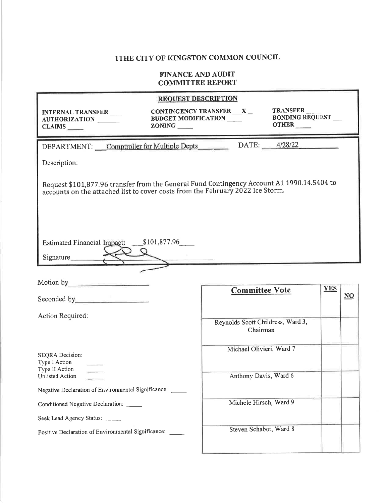|                                                                                                                                                                              | <b>REQUEST DESCRIPTION</b>                                                                                          |  |  |
|------------------------------------------------------------------------------------------------------------------------------------------------------------------------------|---------------------------------------------------------------------------------------------------------------------|--|--|
| <b>INTERNAL TRANSFER</b><br>AUTHORIZATION<br>$CLAIMS$ <sub>____</sub>                                                                                                        | TRANSFER<br>CONTINGENCY TRANSFER __X_<br><b>BONDING REQUEST __</b><br><b>BUDGET MODIFICATION</b><br>OTHER<br>ZONING |  |  |
| DEPARTMENT: Comptroller for Multiple Depts                                                                                                                                   | DATE: 4/28/22                                                                                                       |  |  |
| Description:                                                                                                                                                                 |                                                                                                                     |  |  |
| Request \$101,877.96 transfer from the General Fund Contingency Account A1 1990.14.5404 to<br>accounts on the attached list to cover costs from the February 2022 Ice Storm. |                                                                                                                     |  |  |
| <b>Estimated Financial Impact:</b><br>Signature                                                                                                                              | \$101,877.96                                                                                                        |  |  |
| Motion by Motion 3                                                                                                                                                           |                                                                                                                     |  |  |
|                                                                                                                                                                              | <b>YES</b><br><b>Committee Vote</b><br>$\overline{\text{NO}}$                                                       |  |  |
| Action Required:                                                                                                                                                             |                                                                                                                     |  |  |
|                                                                                                                                                                              | Reynolds Scott Childress, Ward 3,<br>Chairman                                                                       |  |  |
| <b>SEQRA</b> Decision:<br>Type I Action                                                                                                                                      | Michael Olivieri, Ward 7                                                                                            |  |  |
| Type II Action<br>Unlisted Action                                                                                                                                            | Anthony Davis, Ward 6                                                                                               |  |  |
| Negative Declaration of Environmental Significance: _____                                                                                                                    |                                                                                                                     |  |  |
| Conditioned Negative Declaration: ____                                                                                                                                       | Michele Hirsch, Ward 9                                                                                              |  |  |
| Seek Lead Agency Status:                                                                                                                                                     |                                                                                                                     |  |  |
| Positive Declaration of Environmental Significance: ____                                                                                                                     | Steven Schabot, Ward 8                                                                                              |  |  |
|                                                                                                                                                                              |                                                                                                                     |  |  |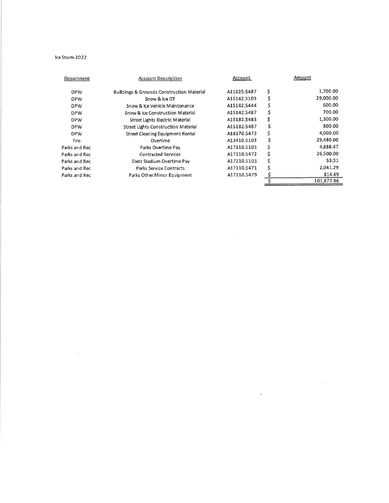#### Ice Storm 2022

 $\mathcal{L}^{\mathcal{L}}$ 

| Department    | <b>Account Description</b>                           | Account     |    | Amount     |
|---------------|------------------------------------------------------|-------------|----|------------|
| <b>DPW</b>    | <b>Buildings &amp; Grounds Construction Material</b> | A11625.5487 | \$ | 1,700.00   |
| <b>DPW</b>    | Snow & Ice OT                                        | A15142.5103 | \$ | 29,000.00  |
| <b>DPW</b>    | Snow & Ice Vehicle Maintenance                       | A15142.5444 | \$ | 600.00     |
| <b>DPW</b>    | Snow & Ice Construction Material                     | A15142.5487 | \$ | 700.00     |
| <b>DPW</b>    | Street Lights Electric Material                      | A15182.5483 | \$ | 1,300,00   |
| <b>DPW</b>    | <b>Street Lights Construction Material</b>           | A15182.5487 | \$ | 800.00     |
| <b>DPW</b>    | <b>Street Cleaning Equipment Rental</b>              | A18170.5473 | \$ | 4,000.00   |
| Fire          | Overtime                                             | A13410.5103 | Ś  | 29,480.00  |
| Parks and Rec | Parks Overtime Pay                                   | A17110.5103 | \$ | 4,888.47   |
| Parks and Rec | <b>Contracted Services</b>                           | A17110.5472 | \$ | 26,500.00  |
| Parks and Rec | Dietz Stadium Overtime Pay                           | A17210.5103 | \$ | 53.51      |
| Parks and Rec | <b>Parks Service Contracts</b>                       | A17110.5471 |    | 2,041,29   |
| Parks and Rec | Parks Other Minor Equipment                          | A17110.5479 |    | 814.69     |
|               |                                                      |             |    | 101,877.96 |

 $\mathcal{D}$